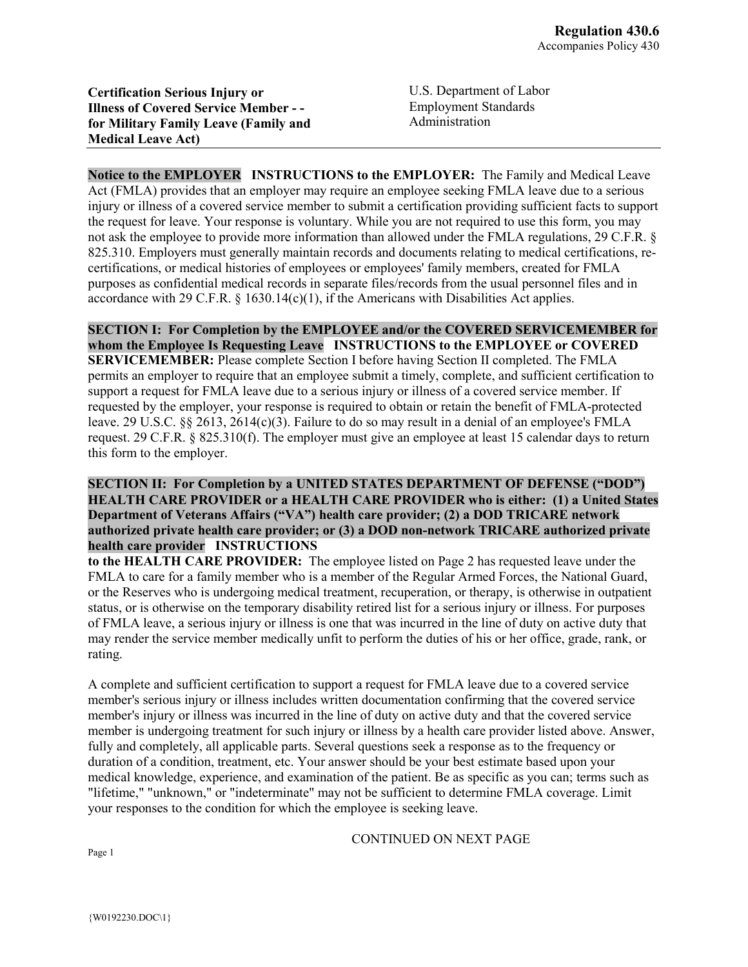**Certification Serious Injury or Illness of Covered Service Member - for Military Family Leave (Family and Medical Leave Act)**

U.S. Department of Labor Employment Standards Administration

**Notice to the EMPLOYER INSTRUCTIONS to the EMPLOYER:** The Family and Medical Leave Act (FMLA) provides that an employer may require an employee seeking FMLA leave due to a serious injury or illness of a covered service member to submit a certification providing sufficient facts to support the request for leave. Your response is voluntary. While you are not required to use this form, you may not ask the employee to provide more information than allowed under the FMLA regulations, 29 C.F.R. § 825.310. Employers must generally maintain records and documents relating to medical certifications, recertifications, or medical histories of employees or employees' family members, created for FMLA purposes as confidential medical records in separate files/records from the usual personnel files and in accordance with 29 C.F.R.  $\S$  1630.14(c)(1), if the Americans with Disabilities Act applies.

**SECTION I: For Completion by the EMPLOYEE and/or the COVERED SERVICEMEMBER for whom the Employee Is Requesting Leave INSTRUCTIONS to the EMPLOYEE or COVERED SERVICEMEMBER:** Please complete Section I before having Section II completed. The FMLA permits an employer to require that an employee submit a timely, complete, and sufficient certification to support a request for FMLA leave due to a serious injury or illness of a covered service member. If requested by the employer, your response is required to obtain or retain the benefit of FMLA-protected leave. 29 U.S.C. §§ 2613, 2614(c)(3). Failure to do so may result in a denial of an employee's FMLA request. 29 C.F.R. § 825.310(f). The employer must give an employee at least 15 calendar days to return this form to the employer.

## **SECTION II: For Completion by a UNITED STATES DEPARTMENT OF DEFENSE ("DOD") HEALTH CARE PROVIDER or a HEALTH CARE PROVIDER who is either: (1) a United States Department of Veterans Affairs ("VA") health care provider; (2) a DOD TRICARE network authorized private health care provider; or (3) a DOD non-network TRICARE authorized private health care provider INSTRUCTIONS**

**to the HEALTH CARE PROVIDER:** The employee listed on Page 2 has requested leave under the FMLA to care for a family member who is a member of the Regular Armed Forces, the National Guard, or the Reserves who is undergoing medical treatment, recuperation, or therapy, is otherwise in outpatient status, or is otherwise on the temporary disability retired list for a serious injury or illness. For purposes of FMLA leave, a serious injury or illness is one that was incurred in the line of duty on active duty that may render the service member medically unfit to perform the duties of his or her office, grade, rank, or rating.

A complete and sufficient certification to support a request for FMLA leave due to a covered service member's serious injury or illness includes written documentation confirming that the covered service member's injury or illness was incurred in the line of duty on active duty and that the covered service member is undergoing treatment for such injury or illness by a health care provider listed above. Answer, fully and completely, all applicable parts. Several questions seek a response as to the frequency or duration of a condition, treatment, etc. Your answer should be your best estimate based upon your medical knowledge, experience, and examination of the patient. Be as specific as you can; terms such as "lifetime," "unknown," or "indeterminate" may not be sufficient to determine FMLA coverage. Limit your responses to the condition for which the employee is seeking leave.

CONTINUED ON NEXT PAGE

Page 1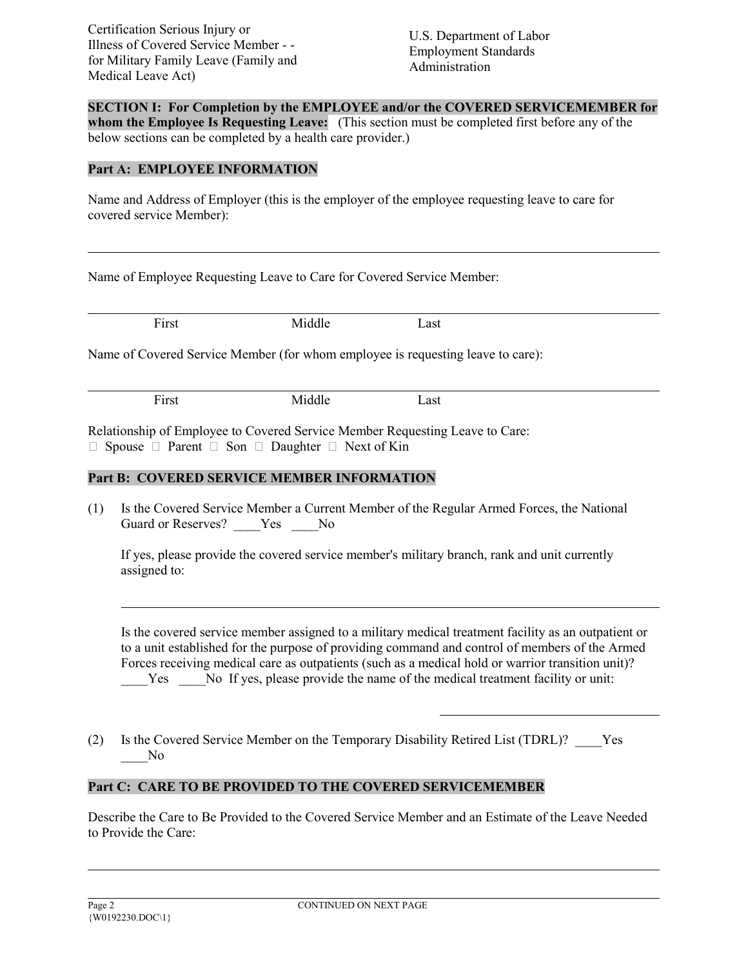Certification Serious Injury or Illness of Covered Service Member - for Military Family Leave (Family and Medical Leave Act)

U.S. Department of Labor Employment Standards Administration

**SECTION I: For Completion by the EMPLOYEE and/or the COVERED SERVICEMEMBER for whom the Employee Is Requesting Leave:** (This section must be completed first before any of the below sections can be completed by a health care provider.)

## **Part A: EMPLOYEE INFORMATION**

Name and Address of Employer (this is the employer of the employee requesting leave to care for covered service Member):

Name of Employee Requesting Leave to Care for Covered Service Member:

First Middle Last Name of Covered Service Member (for whom employee is requesting leave to care): First Middle Last

Relationship of Employee to Covered Service Member Requesting Leave to Care:  $\Box$  Spouse  $\Box$  Parent  $\Box$  Son  $\Box$  Daughter  $\Box$  Next of Kin

## **Part B: COVERED SERVICE MEMBER INFORMATION**

(1) Is the Covered Service Member a Current Member of the Regular Armed Forces, the National Guard or Reserves? \_\_\_\_Yes \_\_\_\_No

If yes, please provide the covered service member's military branch, rank and unit currently assigned to:

Is the covered service member assigned to a military medical treatment facility as an outpatient or to a unit established for the purpose of providing command and control of members of the Armed Forces receiving medical care as outpatients (such as a medical hold or warrior transition unit)? Yes No If yes, please provide the name of the medical treatment facility or unit:

(2) Is the Covered Service Member on the Temporary Disability Retired List (TDRL)? \_\_\_\_Yes N<sub>o</sub>

# **Part C: CARE TO BE PROVIDED TO THE COVERED SERVICEMEMBER**

Describe the Care to Be Provided to the Covered Service Member and an Estimate of the Leave Needed to Provide the Care: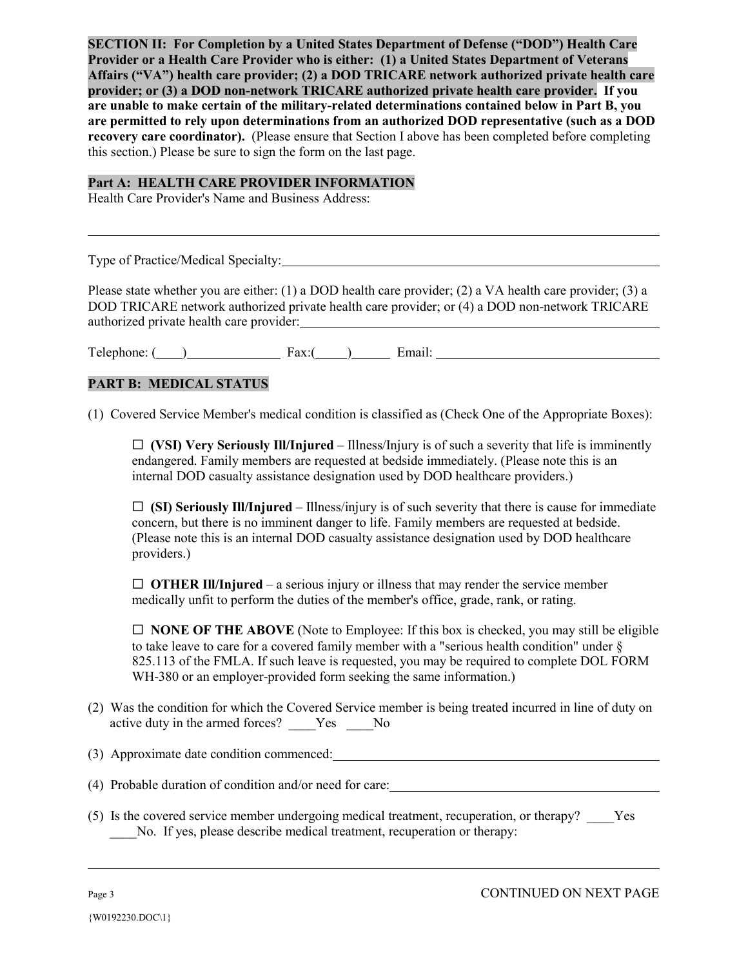**SECTION II: For Completion by a United States Department of Defense ("DOD") Health Care Provider or a Health Care Provider who is either: (1) a United States Department of Veterans Affairs ("VA") health care provider; (2) a DOD TRICARE network authorized private health care provider; or (3) a DOD non-network TRICARE authorized private health care provider. If you are unable to make certain of the military-related determinations contained below in Part B, you are permitted to rely upon determinations from an authorized DOD representative (such as a DOD recovery care coordinator).** (Please ensure that Section I above has been completed before completing this section.) Please be sure to sign the form on the last page.

#### **Part A: HEALTH CARE PROVIDER INFORMATION**

Health Care Provider's Name and Business Address:

Type of Practice/Medical Specialty:

Please state whether you are either: (1) a DOD health care provider; (2) a VA health care provider; (3) a DOD TRICARE network authorized private health care provider; or (4) a DOD non-network TRICARE authorized private health care provider:

Telephone: ( ) Fax:( ) Email:

# **PART B: MEDICAL STATUS**

(1) Covered Service Member's medical condition is classified as (Check One of the Appropriate Boxes):

 $\Box$  (VSI) Very Seriously Ill/Injured – Illness/Injury is of such a severity that life is imminently endangered. Family members are requested at bedside immediately. (Please note this is an internal DOD casualty assistance designation used by DOD healthcare providers.)

 $\Box$  (SI) Seriously Ill/Injured – Illness/injury is of such severity that there is cause for immediate concern, but there is no imminent danger to life. Family members are requested at bedside. (Please note this is an internal DOD casualty assistance designation used by DOD healthcare providers.)

 $\Box$  **OTHER III/Injured** – a serious injury or illness that may render the service member medically unfit to perform the duties of the member's office, grade, rank, or rating.

 $\Box$  **NONE OF THE ABOVE** (Note to Employee: If this box is checked, you may still be eligible to take leave to care for a covered family member with a "serious health condition" under § 825.113 of the FMLA. If such leave is requested, you may be required to complete DOL FORM WH-380 or an employer-provided form seeking the same information.)

- (2) Was the condition for which the Covered Service member is being treated incurred in line of duty on active duty in the armed forces? Yes No
- (3) Approximate date condition commenced:

(4) Probable duration of condition and/or need for care:

(5) Is the covered service member undergoing medical treatment, recuperation, or therapy? \_\_\_\_Yes No. If yes, please describe medical treatment, recuperation or therapy: